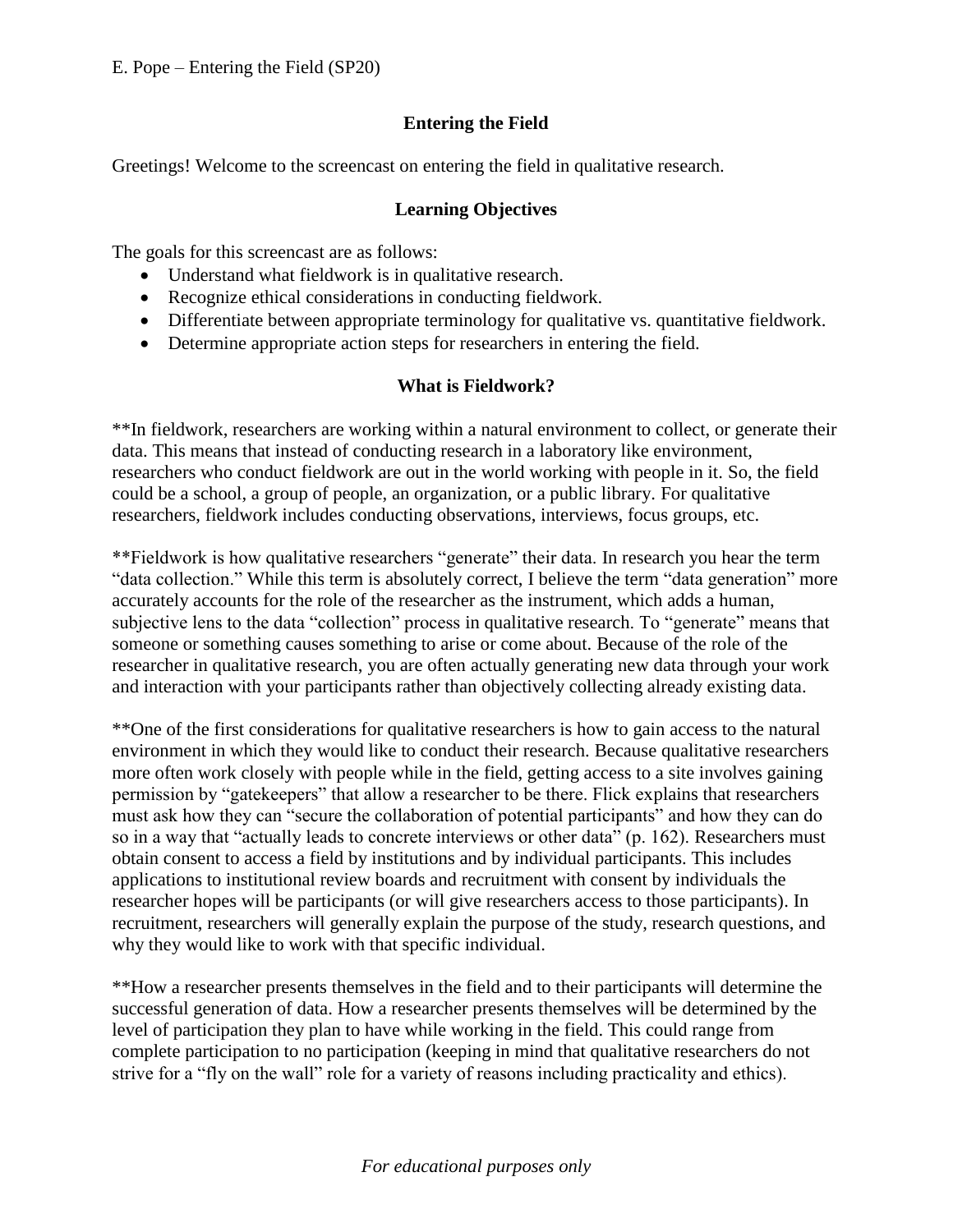# **Entering the Field**

Greetings! Welcome to the screencast on entering the field in qualitative research.

#### **Learning Objectives**

The goals for this screencast are as follows:

- Understand what fieldwork is in qualitative research.
- Recognize ethical considerations in conducting fieldwork.
- Differentiate between appropriate terminology for qualitative vs. quantitative fieldwork.
- Determine appropriate action steps for researchers in entering the field.

#### **What is Fieldwork?**

\*\*In fieldwork, researchers are working within a natural environment to collect, or generate their data. This means that instead of conducting research in a laboratory like environment, researchers who conduct fieldwork are out in the world working with people in it. So, the field could be a school, a group of people, an organization, or a public library. For qualitative researchers, fieldwork includes conducting observations, interviews, focus groups, etc.

\*\*Fieldwork is how qualitative researchers "generate" their data. In research you hear the term "data collection." While this term is absolutely correct, I believe the term "data generation" more accurately accounts for the role of the researcher as the instrument, which adds a human, subjective lens to the data "collection" process in qualitative research. To "generate" means that someone or something causes something to arise or come about. Because of the role of the researcher in qualitative research, you are often actually generating new data through your work and interaction with your participants rather than objectively collecting already existing data.

\*\*One of the first considerations for qualitative researchers is how to gain access to the natural environment in which they would like to conduct their research. Because qualitative researchers more often work closely with people while in the field, getting access to a site involves gaining permission by "gatekeepers" that allow a researcher to be there. Flick explains that researchers must ask how they can "secure the collaboration of potential participants" and how they can do so in a way that "actually leads to concrete interviews or other data" (p. 162). Researchers must obtain consent to access a field by institutions and by individual participants. This includes applications to institutional review boards and recruitment with consent by individuals the researcher hopes will be participants (or will give researchers access to those participants). In recruitment, researchers will generally explain the purpose of the study, research questions, and why they would like to work with that specific individual.

\*\*How a researcher presents themselves in the field and to their participants will determine the successful generation of data. How a researcher presents themselves will be determined by the level of participation they plan to have while working in the field. This could range from complete participation to no participation (keeping in mind that qualitative researchers do not strive for a "fly on the wall" role for a variety of reasons including practicality and ethics).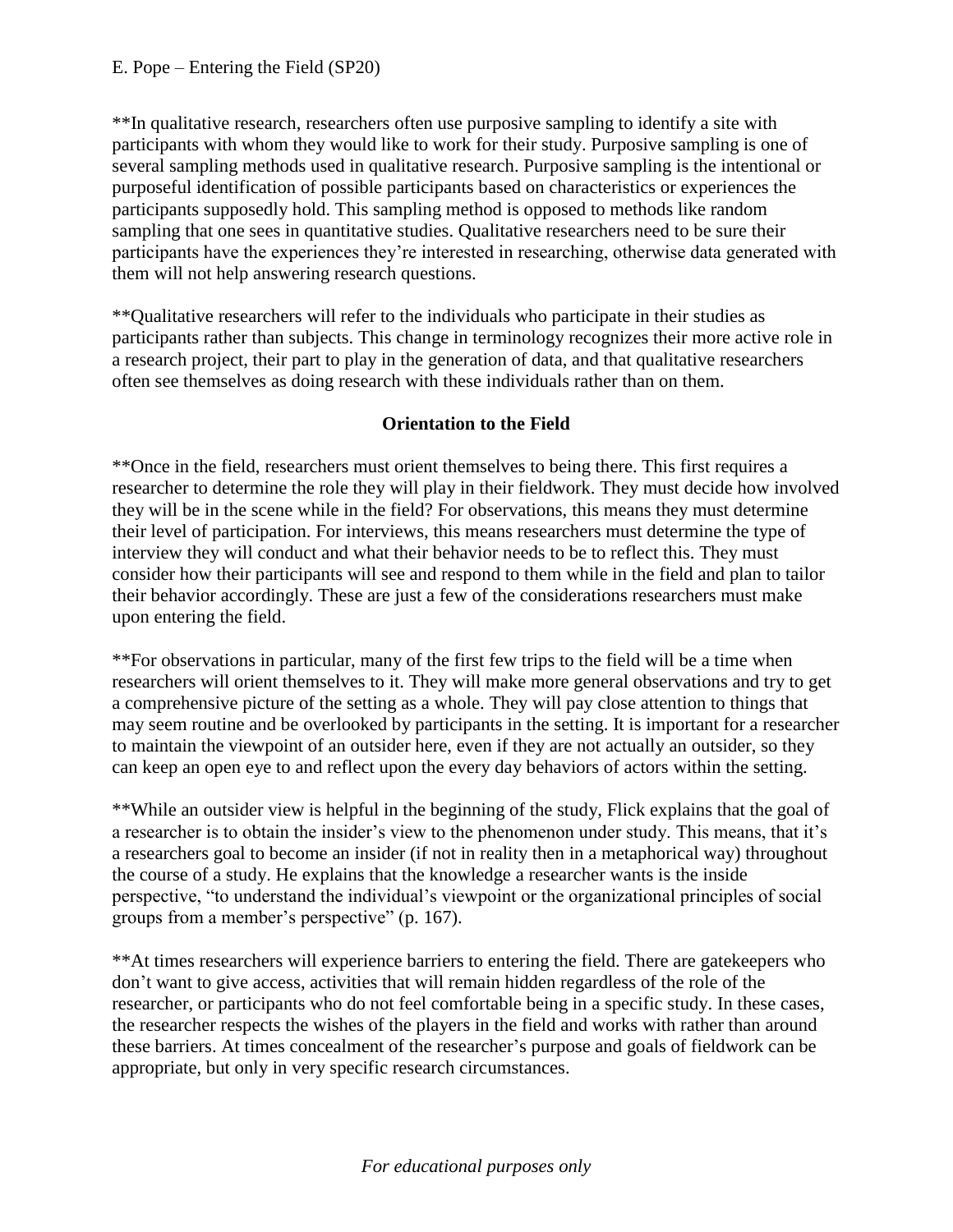\*\*In qualitative research, researchers often use purposive sampling to identify a site with participants with whom they would like to work for their study. Purposive sampling is one of several sampling methods used in qualitative research. Purposive sampling is the intentional or purposeful identification of possible participants based on characteristics or experiences the participants supposedly hold. This sampling method is opposed to methods like random sampling that one sees in quantitative studies. Qualitative researchers need to be sure their participants have the experiences they're interested in researching, otherwise data generated with them will not help answering research questions.

\*\*Qualitative researchers will refer to the individuals who participate in their studies as participants rather than subjects. This change in terminology recognizes their more active role in a research project, their part to play in the generation of data, and that qualitative researchers often see themselves as doing research with these individuals rather than on them.

## **Orientation to the Field**

\*\*Once in the field, researchers must orient themselves to being there. This first requires a researcher to determine the role they will play in their fieldwork. They must decide how involved they will be in the scene while in the field? For observations, this means they must determine their level of participation. For interviews, this means researchers must determine the type of interview they will conduct and what their behavior needs to be to reflect this. They must consider how their participants will see and respond to them while in the field and plan to tailor their behavior accordingly. These are just a few of the considerations researchers must make upon entering the field.

\*\*For observations in particular, many of the first few trips to the field will be a time when researchers will orient themselves to it. They will make more general observations and try to get a comprehensive picture of the setting as a whole. They will pay close attention to things that may seem routine and be overlooked by participants in the setting. It is important for a researcher to maintain the viewpoint of an outsider here, even if they are not actually an outsider, so they can keep an open eye to and reflect upon the every day behaviors of actors within the setting.

\*\*While an outsider view is helpful in the beginning of the study, Flick explains that the goal of a researcher is to obtain the insider's view to the phenomenon under study. This means, that it's a researchers goal to become an insider (if not in reality then in a metaphorical way) throughout the course of a study. He explains that the knowledge a researcher wants is the inside perspective, "to understand the individual's viewpoint or the organizational principles of social groups from a member's perspective" (p. 167).

\*\*At times researchers will experience barriers to entering the field. There are gatekeepers who don't want to give access, activities that will remain hidden regardless of the role of the researcher, or participants who do not feel comfortable being in a specific study. In these cases, the researcher respects the wishes of the players in the field and works with rather than around these barriers. At times concealment of the researcher's purpose and goals of fieldwork can be appropriate, but only in very specific research circumstances.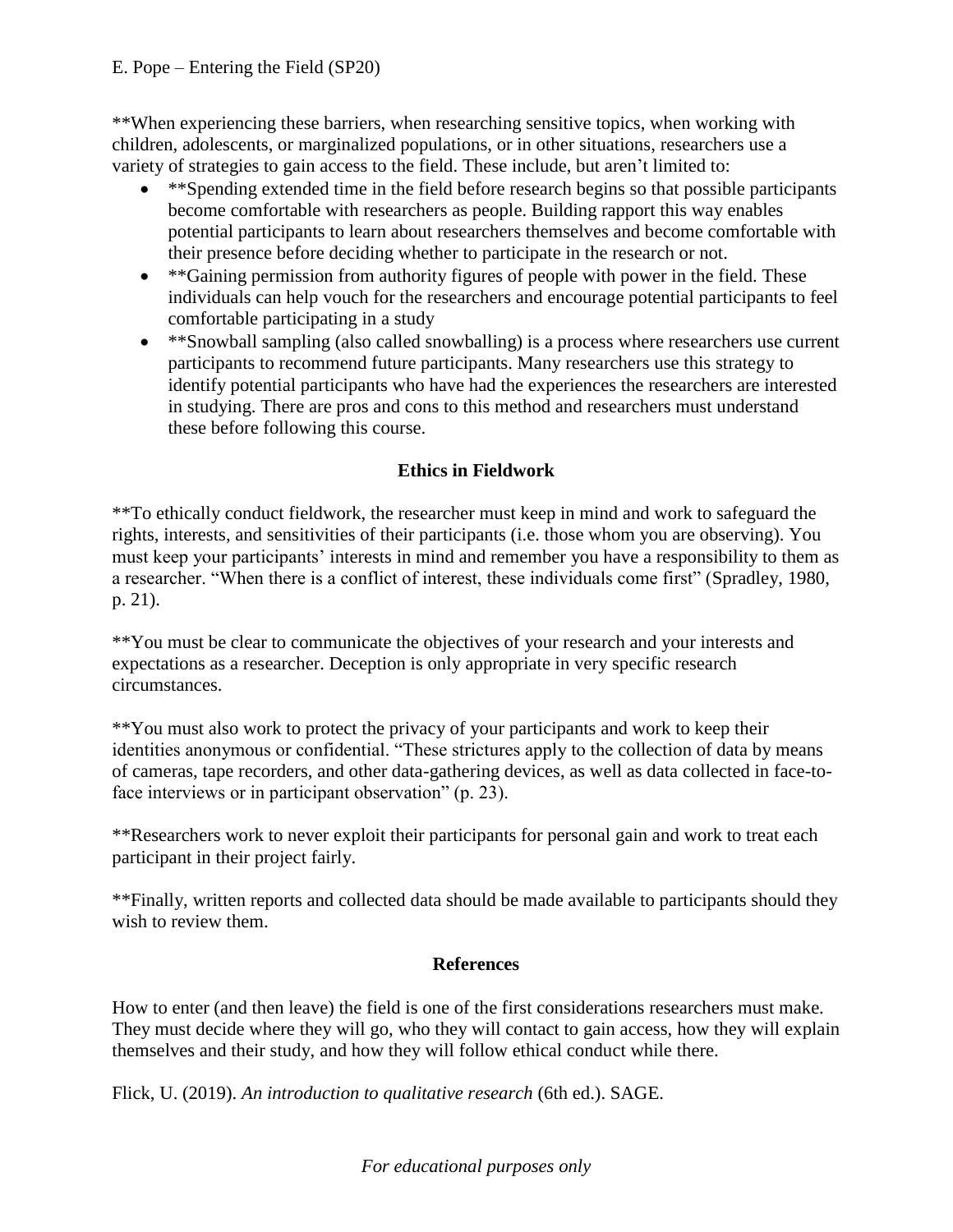### E. Pope – Entering the Field (SP20)

\*\*When experiencing these barriers, when researching sensitive topics, when working with children, adolescents, or marginalized populations, or in other situations, researchers use a variety of strategies to gain access to the field. These include, but aren't limited to:

- \*\*Spending extended time in the field before research begins so that possible participants become comfortable with researchers as people. Building rapport this way enables potential participants to learn about researchers themselves and become comfortable with their presence before deciding whether to participate in the research or not.
- \*\*Gaining permission from authority figures of people with power in the field. These individuals can help vouch for the researchers and encourage potential participants to feel comfortable participating in a study
- \*\*Snowball sampling (also called snowballing) is a process where researchers use current participants to recommend future participants. Many researchers use this strategy to identify potential participants who have had the experiences the researchers are interested in studying. There are pros and cons to this method and researchers must understand these before following this course.

## **Ethics in Fieldwork**

\*\*To ethically conduct fieldwork, the researcher must keep in mind and work to safeguard the rights, interests, and sensitivities of their participants (i.e. those whom you are observing). You must keep your participants' interests in mind and remember you have a responsibility to them as a researcher. "When there is a conflict of interest, these individuals come first" (Spradley, 1980, p. 21).

\*\*You must be clear to communicate the objectives of your research and your interests and expectations as a researcher. Deception is only appropriate in very specific research circumstances.

\*\*You must also work to protect the privacy of your participants and work to keep their identities anonymous or confidential. "These strictures apply to the collection of data by means of cameras, tape recorders, and other data-gathering devices, as well as data collected in face-toface interviews or in participant observation" (p. 23).

\*\*Researchers work to never exploit their participants for personal gain and work to treat each participant in their project fairly.

\*\*Finally, written reports and collected data should be made available to participants should they wish to review them.

### **References**

How to enter (and then leave) the field is one of the first considerations researchers must make. They must decide where they will go, who they will contact to gain access, how they will explain themselves and their study, and how they will follow ethical conduct while there.

Flick, U. (2019). *An introduction to qualitative research* (6th ed.). SAGE.